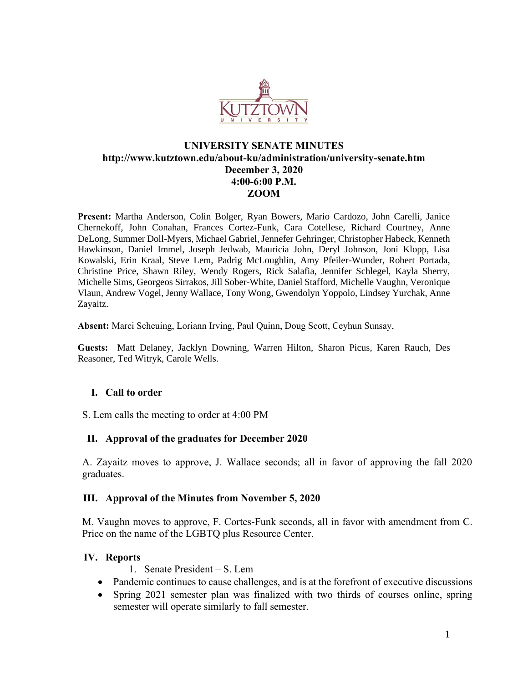

# **UNIVERSITY SENATE MINUTES http://www.kutztown.edu/about-ku/administration/university-senate.htm December 3, 2020 4:00-6:00 P.M. ZOOM**

**Present:** Martha Anderson, Colin Bolger, Ryan Bowers, Mario Cardozo, John Carelli, Janice Chernekoff, John Conahan, Frances Cortez-Funk, Cara Cotellese, Richard Courtney, Anne DeLong, Summer Doll-Myers, Michael Gabriel, Jennefer Gehringer, Christopher Habeck, Kenneth Hawkinson, Daniel Immel, Joseph Jedwab, Mauricia John, Deryl Johnson, Joni Klopp, Lisa Kowalski, Erin Kraal, Steve Lem, Padrig McLoughlin, Amy Pfeiler-Wunder, Robert Portada, Christine Price, Shawn Riley, Wendy Rogers, Rick Salafia, Jennifer Schlegel, Kayla Sherry, Michelle Sims, Georgeos Sirrakos, Jill Sober-White, Daniel Stafford, Michelle Vaughn, Veronique Vlaun, Andrew Vogel, Jenny Wallace, Tony Wong, Gwendolyn Yoppolo, Lindsey Yurchak, Anne Zayaitz.

**Absent:** Marci Scheuing, Loriann Irving, Paul Quinn, Doug Scott, Ceyhun Sunsay,

**Guests:** Matt Delaney, Jacklyn Downing, Warren Hilton, Sharon Picus, Karen Rauch, Des Reasoner, Ted Witryk, Carole Wells.

### **I. Call to order**

S. Lem calls the meeting to order at 4:00 PM

### **II. Approval of the graduates for December 2020**

A. Zayaitz moves to approve, J. Wallace seconds; all in favor of approving the fall 2020 graduates.

### **III. Approval of the Minutes from November 5, 2020**

M. Vaughn moves to approve, F. Cortes-Funk seconds, all in favor with amendment from C. Price on the name of the LGBTQ plus Resource Center.

### **IV. Reports**

1. Senate President – S. Lem

- Pandemic continues to cause challenges, and is at the forefront of executive discussions
- Spring 2021 semester plan was finalized with two thirds of courses online, spring semester will operate similarly to fall semester.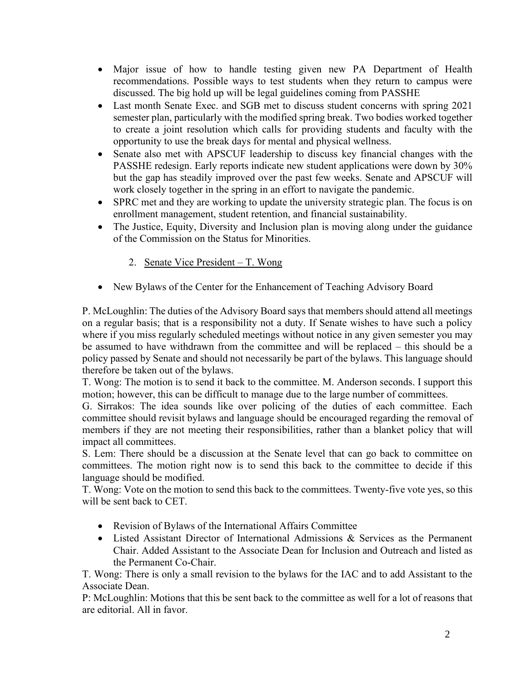- Major issue of how to handle testing given new PA Department of Health recommendations. Possible ways to test students when they return to campus were discussed. The big hold up will be legal guidelines coming from PASSHE
- Last month Senate Exec. and SGB met to discuss student concerns with spring 2021 semester plan, particularly with the modified spring break. Two bodies worked together to create a joint resolution which calls for providing students and faculty with the opportunity to use the break days for mental and physical wellness.
- Senate also met with APSCUF leadership to discuss key financial changes with the PASSHE redesign. Early reports indicate new student applications were down by 30% but the gap has steadily improved over the past few weeks. Senate and APSCUF will work closely together in the spring in an effort to navigate the pandemic.
- SPRC met and they are working to update the university strategic plan. The focus is on enrollment management, student retention, and financial sustainability.
- The Justice, Equity, Diversity and Inclusion plan is moving along under the guidance of the Commission on the Status for Minorities.
	- 2. Senate Vice President T. Wong
- New Bylaws of the Center for the Enhancement of Teaching Advisory Board

P. McLoughlin: The duties of the Advisory Board says that members should attend all meetings on a regular basis; that is a responsibility not a duty. If Senate wishes to have such a policy where if you miss regularly scheduled meetings without notice in any given semester you may be assumed to have withdrawn from the committee and will be replaced – this should be a policy passed by Senate and should not necessarily be part of the bylaws. This language should therefore be taken out of the bylaws.

T. Wong: The motion is to send it back to the committee. M. Anderson seconds. I support this motion; however, this can be difficult to manage due to the large number of committees.

G. Sirrakos: The idea sounds like over policing of the duties of each committee. Each committee should revisit bylaws and language should be encouraged regarding the removal of members if they are not meeting their responsibilities, rather than a blanket policy that will impact all committees.

S. Lem: There should be a discussion at the Senate level that can go back to committee on committees. The motion right now is to send this back to the committee to decide if this language should be modified.

T. Wong: Vote on the motion to send this back to the committees. Twenty-five vote yes, so this will be sent back to CET.

- Revision of Bylaws of the International Affairs Committee
- Listed Assistant Director of International Admissions & Services as the Permanent Chair. Added Assistant to the Associate Dean for Inclusion and Outreach and listed as the Permanent Co-Chair.

T. Wong: There is only a small revision to the bylaws for the IAC and to add Assistant to the Associate Dean.

P: McLoughlin: Motions that this be sent back to the committee as well for a lot of reasons that are editorial. All in favor.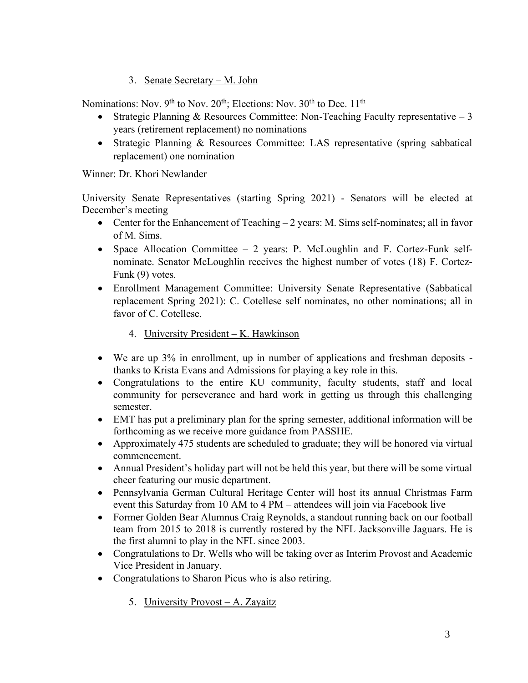3. Senate Secretary – M. John

Nominations: Nov.  $9<sup>th</sup>$  to Nov.  $20<sup>th</sup>$ ; Elections: Nov.  $30<sup>th</sup>$  to Dec.  $11<sup>th</sup>$ 

- Strategic Planning & Resources Committee: Non-Teaching Faculty representative  $-3$ years (retirement replacement) no nominations
- Strategic Planning & Resources Committee: LAS representative (spring sabbatical replacement) one nomination

# Winner: Dr. Khori Newlander

University Senate Representatives (starting Spring 2021) - Senators will be elected at December's meeting

- Center for the Enhancement of Teaching 2 years: M. Sims self-nominates; all in favor of M. Sims.
- Space Allocation Committee 2 years: P. McLoughlin and F. Cortez-Funk selfnominate. Senator McLoughlin receives the highest number of votes (18) F. Cortez-Funk (9) votes.
- Enrollment Management Committee: University Senate Representative (Sabbatical replacement Spring 2021): C. Cotellese self nominates, no other nominations; all in favor of C. Cotellese.
	- 4. University President K. Hawkinson
- We are up 3% in enrollment, up in number of applications and freshman deposits thanks to Krista Evans and Admissions for playing a key role in this.
- Congratulations to the entire KU community, faculty students, staff and local community for perseverance and hard work in getting us through this challenging semester.
- EMT has put a preliminary plan for the spring semester, additional information will be forthcoming as we receive more guidance from PASSHE.
- Approximately 475 students are scheduled to graduate; they will be honored via virtual commencement.
- Annual President's holiday part will not be held this year, but there will be some virtual cheer featuring our music department.
- Pennsylvania German Cultural Heritage Center will host its annual Christmas Farm event this Saturday from 10 AM to 4 PM – attendees will join via Facebook live
- Former Golden Bear Alumnus Craig Reynolds, a standout running back on our football team from 2015 to 2018 is currently rostered by the NFL Jacksonville Jaguars. He is the first alumni to play in the NFL since 2003.
- Congratulations to Dr. Wells who will be taking over as Interim Provost and Academic Vice President in January.
- Congratulations to Sharon Picus who is also retiring.
	- 5. University Provost A. Zayaitz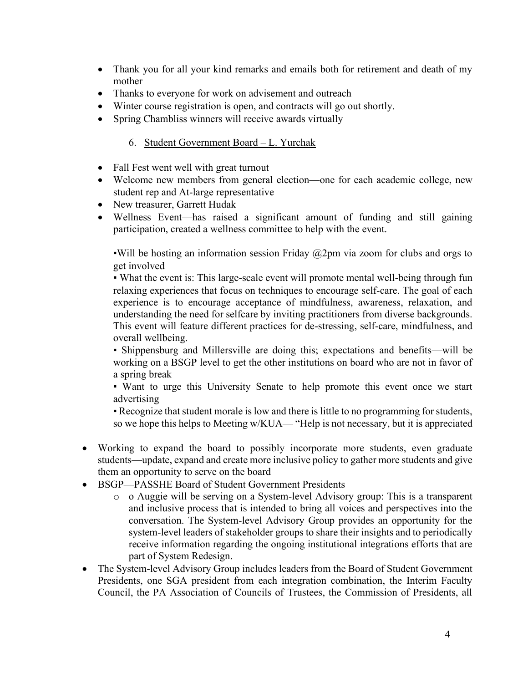- Thank you for all your kind remarks and emails both for retirement and death of my mother
- Thanks to everyone for work on advisement and outreach
- Winter course registration is open, and contracts will go out shortly.
- Spring Chambliss winners will receive awards virtually

# 6. Student Government Board – L. Yurchak

- Fall Fest went well with great turnout
- Welcome new members from general election—one for each academic college, new student rep and At-large representative
- New treasurer, Garrett Hudak
- Wellness Event—has raised a significant amount of funding and still gaining participation, created a wellness committee to help with the event.

Will be hosting an information session Friday  $\omega$ 2pm via zoom for clubs and orgs to get involved

• What the event is: This large-scale event will promote mental well-being through fun relaxing experiences that focus on techniques to encourage self-care. The goal of each experience is to encourage acceptance of mindfulness, awareness, relaxation, and understanding the need for selfcare by inviting practitioners from diverse backgrounds. This event will feature different practices for de-stressing, self-care, mindfulness, and overall wellbeing.

▪ Shippensburg and Millersville are doing this; expectations and benefits—will be working on a BSGP level to get the other institutions on board who are not in favor of a spring break

▪ Want to urge this University Senate to help promote this event once we start advertising

▪ Recognize that student morale is low and there is little to no programming for students, so we hope this helps to Meeting w/KUA— "Help is not necessary, but it is appreciated

- Working to expand the board to possibly incorporate more students, even graduate students—update, expand and create more inclusive policy to gather more students and give them an opportunity to serve on the board
- BSGP—PASSHE Board of Student Government Presidents
	- o o Auggie will be serving on a System-level Advisory group: This is a transparent and inclusive process that is intended to bring all voices and perspectives into the conversation. The System-level Advisory Group provides an opportunity for the system-level leaders of stakeholder groups to share their insights and to periodically receive information regarding the ongoing institutional integrations efforts that are part of System Redesign.
- The System-level Advisory Group includes leaders from the Board of Student Government Presidents, one SGA president from each integration combination, the Interim Faculty Council, the PA Association of Councils of Trustees, the Commission of Presidents, all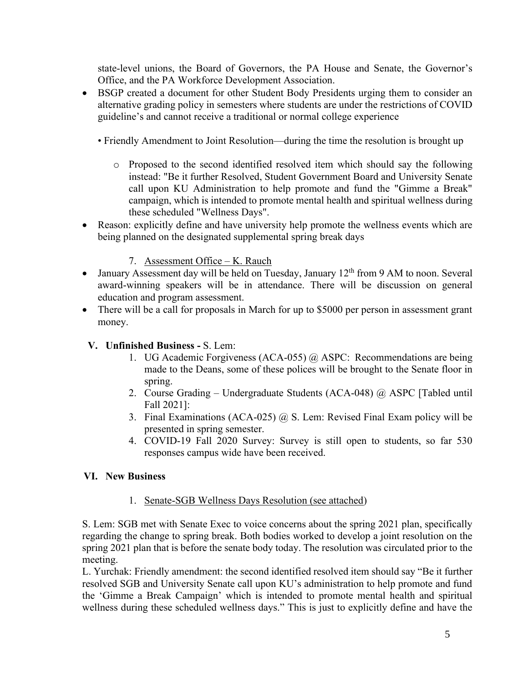state-level unions, the Board of Governors, the PA House and Senate, the Governor's Office, and the PA Workforce Development Association.

- BSGP created a document for other Student Body Presidents urging them to consider an alternative grading policy in semesters where students are under the restrictions of COVID guideline's and cannot receive a traditional or normal college experience
	- Friendly Amendment to Joint Resolution—during the time the resolution is brought up
		- o Proposed to the second identified resolved item which should say the following instead: "Be it further Resolved, Student Government Board and University Senate call upon KU Administration to help promote and fund the "Gimme a Break" campaign, which is intended to promote mental health and spiritual wellness during these scheduled "Wellness Days".
- Reason: explicitly define and have university help promote the wellness events which are being planned on the designated supplemental spring break days

# 7. Assessment Office – K. Rauch

- January Assessment day will be held on Tuesday, January  $12<sup>th</sup>$  from 9 AM to noon. Several award-winning speakers will be in attendance. There will be discussion on general education and program assessment.
- There will be a call for proposals in March for up to \$5000 per person in assessment grant money.

# **V. Unfinished Business -** S. Lem:

- 1. UG Academic Forgiveness (ACA-055) @ ASPC: Recommendations are being made to the Deans, some of these polices will be brought to the Senate floor in spring.
- 2. Course Grading Undergraduate Students (ACA-048) @ ASPC [Tabled until Fall 2021]:
- 3. Final Examinations (ACA-025) @ S. Lem: Revised Final Exam policy will be presented in spring semester.
- 4. COVID-19 Fall 2020 Survey: Survey is still open to students, so far 530 responses campus wide have been received.

## **VI. New Business**

## 1. Senate-SGB Wellness Days Resolution (see attached)

S. Lem: SGB met with Senate Exec to voice concerns about the spring 2021 plan, specifically regarding the change to spring break. Both bodies worked to develop a joint resolution on the spring 2021 plan that is before the senate body today. The resolution was circulated prior to the meeting.

L. Yurchak: Friendly amendment: the second identified resolved item should say "Be it further resolved SGB and University Senate call upon KU's administration to help promote and fund the 'Gimme a Break Campaign' which is intended to promote mental health and spiritual wellness during these scheduled wellness days." This is just to explicitly define and have the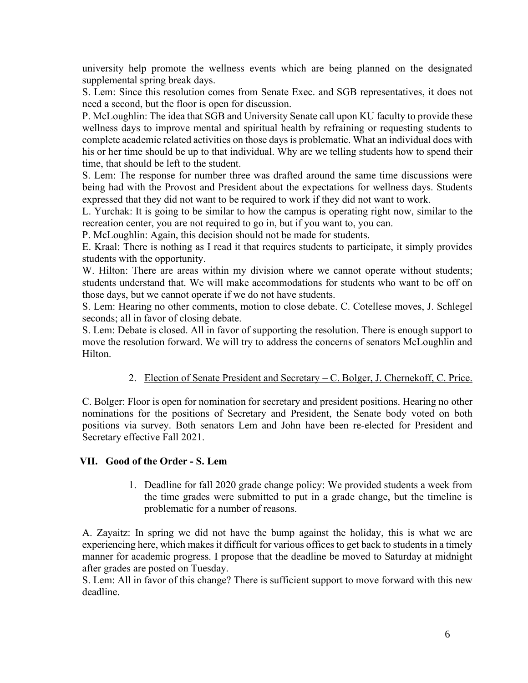university help promote the wellness events which are being planned on the designated supplemental spring break days.

S. Lem: Since this resolution comes from Senate Exec. and SGB representatives, it does not need a second, but the floor is open for discussion.

P. McLoughlin: The idea that SGB and University Senate call upon KU faculty to provide these wellness days to improve mental and spiritual health by refraining or requesting students to complete academic related activities on those days is problematic. What an individual does with his or her time should be up to that individual. Why are we telling students how to spend their time, that should be left to the student.

S. Lem: The response for number three was drafted around the same time discussions were being had with the Provost and President about the expectations for wellness days. Students expressed that they did not want to be required to work if they did not want to work.

L. Yurchak: It is going to be similar to how the campus is operating right now, similar to the recreation center, you are not required to go in, but if you want to, you can.

P. McLoughlin: Again, this decision should not be made for students.

E. Kraal: There is nothing as I read it that requires students to participate, it simply provides students with the opportunity.

W. Hilton: There are areas within my division where we cannot operate without students; students understand that. We will make accommodations for students who want to be off on those days, but we cannot operate if we do not have students.

S. Lem: Hearing no other comments, motion to close debate. C. Cotellese moves, J. Schlegel seconds; all in favor of closing debate.

S. Lem: Debate is closed. All in favor of supporting the resolution. There is enough support to move the resolution forward. We will try to address the concerns of senators McLoughlin and Hilton.

## 2. Election of Senate President and Secretary – C. Bolger, J. Chernekoff, C. Price.

C. Bolger: Floor is open for nomination for secretary and president positions. Hearing no other nominations for the positions of Secretary and President, the Senate body voted on both positions via survey. Both senators Lem and John have been re-elected for President and Secretary effective Fall 2021.

## **VII. Good of the Order - S. Lem**

1. Deadline for fall 2020 grade change policy: We provided students a week from the time grades were submitted to put in a grade change, but the timeline is problematic for a number of reasons.

A. Zayaitz: In spring we did not have the bump against the holiday, this is what we are experiencing here, which makes it difficult for various offices to get back to students in a timely manner for academic progress. I propose that the deadline be moved to Saturday at midnight after grades are posted on Tuesday.

S. Lem: All in favor of this change? There is sufficient support to move forward with this new deadline.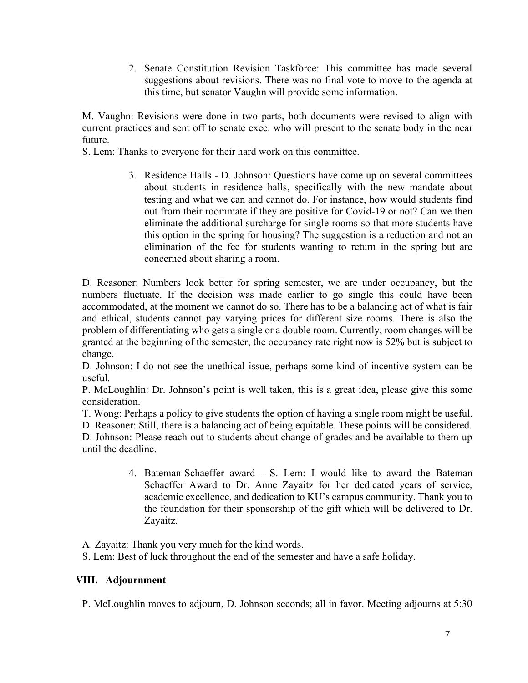2. Senate Constitution Revision Taskforce: This committee has made several suggestions about revisions. There was no final vote to move to the agenda at this time, but senator Vaughn will provide some information.

M. Vaughn: Revisions were done in two parts, both documents were revised to align with current practices and sent off to senate exec. who will present to the senate body in the near future.

S. Lem: Thanks to everyone for their hard work on this committee.

3. Residence Halls - D. Johnson: Questions have come up on several committees about students in residence halls, specifically with the new mandate about testing and what we can and cannot do. For instance, how would students find out from their roommate if they are positive for Covid-19 or not? Can we then eliminate the additional surcharge for single rooms so that more students have this option in the spring for housing? The suggestion is a reduction and not an elimination of the fee for students wanting to return in the spring but are concerned about sharing a room.

D. Reasoner: Numbers look better for spring semester, we are under occupancy, but the numbers fluctuate. If the decision was made earlier to go single this could have been accommodated, at the moment we cannot do so. There has to be a balancing act of what is fair and ethical, students cannot pay varying prices for different size rooms. There is also the problem of differentiating who gets a single or a double room. Currently, room changes will be granted at the beginning of the semester, the occupancy rate right now is 52% but is subject to change.

D. Johnson: I do not see the unethical issue, perhaps some kind of incentive system can be useful.

P. McLoughlin: Dr. Johnson's point is well taken, this is a great idea, please give this some consideration.

T. Wong: Perhaps a policy to give students the option of having a single room might be useful.

D. Reasoner: Still, there is a balancing act of being equitable. These points will be considered.

D. Johnson: Please reach out to students about change of grades and be available to them up until the deadline.

> 4. Bateman-Schaeffer award - S. Lem: I would like to award the Bateman Schaeffer Award to Dr. Anne Zayaitz for her dedicated years of service, academic excellence, and dedication to KU's campus community. Thank you to the foundation for their sponsorship of the gift which will be delivered to Dr. Zayaitz.

A. Zayaitz: Thank you very much for the kind words.

S. Lem: Best of luck throughout the end of the semester and have a safe holiday.

## **VIII. Adjournment**

P. McLoughlin moves to adjourn, D. Johnson seconds; all in favor. Meeting adjourns at 5:30